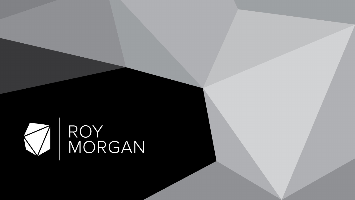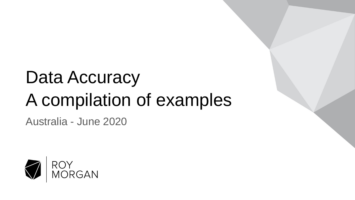## Data Accuracy A compilation of examples

Australia - June 2020

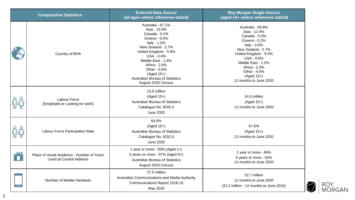| <b>Comparative Statistics</b>                                                 | <b>External Data Source</b><br>(all ages unless otherwise stated)                                                                                                                                                                                                                              | <b>Roy Morgan Single Source</b><br>(aged 14+ unless otherwise stated)                                                                                                                                                                                    |
|-------------------------------------------------------------------------------|------------------------------------------------------------------------------------------------------------------------------------------------------------------------------------------------------------------------------------------------------------------------------------------------|----------------------------------------------------------------------------------------------------------------------------------------------------------------------------------------------------------------------------------------------------------|
| Country of Birth                                                              | Australia - 67.1%<br>Asia - 13.0%<br>Canada - 0.2%<br>Greece - 0.5%<br>Italy - 1.0%<br>New Zealand - 2.7%<br>United Kingdom - 5.9%<br><b>USA - 0.4%</b><br>Middle East - 1.6%<br>Africa - 2.0%<br>Other - 5.6%<br>$(Aged 15+)$<br><b>Australian Bureau of Statistics</b><br>August 2016 Census | Australia - 69.8%<br>Asia - 12.4%<br>Canada - 0.3%<br>Greece - 0.2%<br>Italy - 0.5%<br>New Zealand - 2.7%<br>United Kingdom - 5.5%<br><b>USA - 0.6%</b><br>Middle East - 1.2%<br>Africa - 2.3%<br>Other - 4.5%<br>$(Aged 15+)$<br>12 months to June 2020 |
| Labour Force<br>(Employed or Looking for work)                                | 13.5 million<br>$(Aged 15+)$<br><b>Australian Bureau of Statistics</b><br>Catalogue No. 6202.0<br><b>June 2020</b>                                                                                                                                                                             | 14.0 million<br>$(Aged 15+)$<br>12 months to June 2020                                                                                                                                                                                                   |
| Labour Force Participation Rate                                               | 64.0%<br>$(Aged 15+)$<br>Australian Bureau of Statistics<br>Catalogue No. 6202.0<br><b>June 2020</b>                                                                                                                                                                                           | 67.6%<br>$(Aged 15+)$<br>12 months to June 2020                                                                                                                                                                                                          |
| Place of Usual residence - Number of Years<br><b>Lived at Current Address</b> | 1 year or more - 83% (Aged 1+)<br>5 years or more - 57% (Aged 5+)<br>Australian Bureau of Statistics<br>August 2016 Census                                                                                                                                                                     | 1 year or more - 84%<br>5 years or more - 54%<br>12 months to June 2020                                                                                                                                                                                  |
| Number of Mobile Handsets                                                     | 27.5 million<br>Australian Communications and Media Authority<br>Communications Report 2018-19<br>May 2019                                                                                                                                                                                     | 22.7 million<br>12 months to June 2020<br>(22.2 million - 12 months to June 2019)                                                                                                                                                                        |



1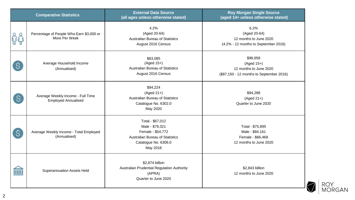|               | <b>Comparative Statistics</b>                                   | <b>External Data Source</b><br>(all ages unless otherwise stated)                                                               | <b>Roy Morgan Single Source</b><br>(aged 14+ unless otherwise stated)                          |
|---------------|-----------------------------------------------------------------|---------------------------------------------------------------------------------------------------------------------------------|------------------------------------------------------------------------------------------------|
| <u>ရှိပို</u> | Percentage of People Who Earn \$3,000 or<br>More Per Week       | 4.2%<br>(Aged 20-64)<br>Australian Bureau of Statistics<br>August 2016 Census                                                   | 6.2%<br>(Aged 20-64)<br>12 months to June 2020<br>(4.2% - 12 months to September 2016)         |
| $\mathcal{S}$ | Average Household Income<br>(Annualised)                        | \$83,085<br>(Aged 15+)<br><b>Australian Bureau of Statistics</b><br>August 2016 Census                                          | \$96,658<br>$(Aged 15+)$<br>12 months to June 2020<br>(\$87,150 - 12 months to September 2016) |
| $\mathsf{S}$  | Average Weekly Income - Full Time<br><b>Employed Annualised</b> | \$94,224<br>$(Aged 21+)$<br>Australian Bureau of Statistics<br>Catalogue No. 6302.0<br>May 2020                                 | \$94,288<br>$(Aged 21+)$<br>Quarter to June 2020                                               |
| S.            | Average Weekly Income - Total Employed<br>(Annualised)          | Total - \$67,012<br>Male - \$79,321<br>Female - \$54,772<br>Australian Bureau of Statistics<br>Catalogue No. 6306.0<br>May 2018 | Total - \$75,895<br>Male - \$84,161<br>Female - \$66,468<br>12 months to June 2020             |
| <b>TITTI</b>  | <b>Superannuation Assets Held</b>                               | \$2,874 billion<br>Australian Prudential Regulation Authority<br>(APRA)<br>Quarter to June 2020                                 | \$2,843 billion<br>12 months to June 2020                                                      |

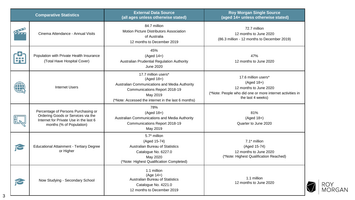|   | <b>Comparative Statistics</b>                                                                                                                   | <b>External Data Source</b><br>(all ages unless otherwise stated)                                                                                                                        | <b>Roy Morgan Single Source</b><br>(aged 14+ unless otherwise stated)                                                                         |
|---|-------------------------------------------------------------------------------------------------------------------------------------------------|------------------------------------------------------------------------------------------------------------------------------------------------------------------------------------------|-----------------------------------------------------------------------------------------------------------------------------------------------|
|   | Cinema Attendance - Annual Visits                                                                                                               | 84.7 million<br>Motion Picture Distributors Association<br>of Australia<br>12 months to December 2019                                                                                    | 72.7 million<br>12 months to June 2020<br>(86.3 million - 12 months to December 2019)                                                         |
|   | Population with Private Health Insurance<br>(Total Have Hospital Cover)                                                                         | 45%<br>$(Aged 14+)$<br>Australian Prudential Regulation Authority<br><b>June 2020</b>                                                                                                    | 47%<br>12 months to June 2020                                                                                                                 |
| w | <b>Internet Users</b>                                                                                                                           | 17.7 million users*<br>$(Aged 18+)$<br>Australian Communications and Media Authority<br>Communications Report 2018-19<br>May 2019<br>(*Note: Accessed the internet in the last 6 months) | 17.6 million users*<br>(Aged 18+)<br>12 months to June 2020<br>(*Note: People who did one or more internet activities in<br>the last 4 weeks) |
|   | Percentage of Persons Purchasing or<br>Ordering Goods or Services via the<br>Internet for Private Use in the last 6<br>months (% of Population) | 78%<br>$(Aged 18+)$<br>Australian Communications and Media Authority<br>Communications Report 2018-19<br>May 2019                                                                        | 81%<br>(Aged 18+)<br>Quarter to June 2020                                                                                                     |
| ے | <b>Educational Attainment - Tertiary Degree</b><br>or Higher                                                                                    | 5.7* million<br>(Aged 15-74)<br><b>Australian Bureau of Statistics</b><br>Catalogue No. 6227.0<br>May 2020<br>(*Note: Highest Qualification Completed)                                   | 7.1* million<br>(Aged 15-74)<br>12 months to June 2020<br>(*Note: Highest Qualification Reached)                                              |
|   | Now Studying - Secondary School                                                                                                                 | 1.1 million<br>$(Age 14+)$<br>Australian Bureau of Statistics<br>Catalogue No. 4221.0<br>12 months to December 2019                                                                      | 1.1 million<br>12 months to June 2020                                                                                                         |



3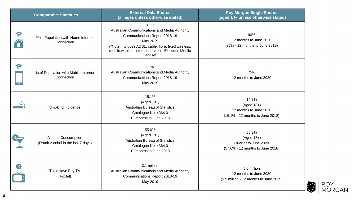| <b>Comparative Statistics</b>                                    | <b>External Data Source</b><br>(all ages unless otherwise stated)                                                                                                                                                               | <b>Roy Morgan Single Source</b><br>(aged 14+ unless otherwise stated)               |
|------------------------------------------------------------------|---------------------------------------------------------------------------------------------------------------------------------------------------------------------------------------------------------------------------------|-------------------------------------------------------------------------------------|
| % of Population with Home Internet<br>Connection                 | $91%$ *<br>Australian Communications and Media Authority<br>Communications Report 2018-19<br>May 2019<br>(*Note: Includes ADSL, cable, fibre, fixed wireless,<br>mobile wireless internet services. Excludes Mobile<br>Handset) | 90%<br>12 months to June 2020<br>(87% - 12 months to June 2019)                     |
| % of Population with Mobile Internet<br>Connection               | 80%<br>Australian Communications and Media Authority<br>Communications Report 2018-19<br>May 2019                                                                                                                               | 75%<br>12 months to June 2020                                                       |
| Smoking Incidence                                                | 15.1%<br>$(Aged 18+)$<br><b>Australian Bureau of Statistics</b><br>Catalogue No. 4364.0<br>12 months to June 2018                                                                                                               | 14.7%<br>$(Aged 18+)$<br>12 months to June 2020<br>(16.1% - 12 months to June 2018) |
| <b>Alcohol Consumption</b><br>(Drunk Alcohol in the last 7 days) | 55.0%<br>$(Aged 18+)$<br><b>Australian Bureau of Statistics</b><br>Catalogue No. 4364.0<br>12 months to June 2018                                                                                                               | 55.2%<br>$(Aged 18+)$<br>Quarter to June 2020<br>(57.6% - 12 months to June 2018)   |
| <b>Total Have Pay TV</b><br>(Foxtel)                             | 3.1 million<br>Australian Communications and Media Authority<br>Communications Report 2018-19<br>May 2019                                                                                                                       | 5.0 million<br>12 months to June 2020<br>(5.5 million - 12 months to June 2019)     |

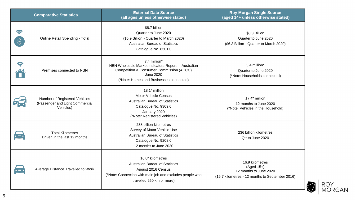|                    | <b>Comparative Statistics</b>                                                 | <b>External Data Source</b><br>(all ages unless otherwise stated)                                                                                                                   | <b>Roy Morgan Single Source</b><br>(aged 14+ unless otherwise stated)                                        |
|--------------------|-------------------------------------------------------------------------------|-------------------------------------------------------------------------------------------------------------------------------------------------------------------------------------|--------------------------------------------------------------------------------------------------------------|
| 9<br>$\mathcal{S}$ | Online Retail Spending - Total                                                | \$8.7 billion<br>Quarter to June 2020<br>(\$5.9 Billion - Quarter to March 2020)<br><b>Australian Bureau of Statistics</b><br>Catalogue No. 8501.0                                  | \$8.3 Billion<br>Quarter to June 2020<br>(\$6.3 Billion - Quarter to March 2020)                             |
| Ş                  | Premises connected to NBN                                                     | 7.4 million*<br>NBN Wholesale Market Indicators Report<br>Australian<br><b>Competition &amp; Consumer Commission (ACCC)</b><br>June 2020<br>(*Note: Homes and Businesses connected) | 5.4 million*<br>Quarter to June 2020<br>(*Note: Households connected)                                        |
|                    | Number of Registered Vehicles<br>(Passenger and Light Commercial<br>Vehicles) | 18.1* million<br><b>Motor Vehicle Census</b><br><b>Australian Bureau of Statistics</b><br>Catalogue No. 9309.0<br>January 2020<br>(*Note: Registered Vehicles)                      | 17.4* million<br>12 months to June 2020<br>(*Note: Vehicles in the Household)                                |
|                    | <b>Total Kilometres</b><br>Driven in the last 12 months                       | 238 billion kilometres<br>Survey of Motor Vehicle Use<br><b>Australian Bureau of Statistics</b><br>Catalogue No. 9208.0<br>12 months to June 2020                                   | 236 billion kilometres<br>Qtr to June 2020                                                                   |
|                    | Average Distance Travelled to Work                                            | 16.0* kilometres<br><b>Australian Bureau of Statistics</b><br>August 2016 Census<br>(*Note: Connection with main job and excludes people who<br>travelled 250 km or more)           | 16.9 kilometres<br>$(Aged 15+)$<br>12 months to June 2020<br>(16.7 kilometres - 12 months to September 2016) |

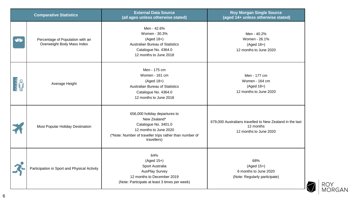|            | <b>Comparative Statistics</b>                                  | <b>External Data Source</b><br>(all ages unless otherwise stated)                                                                                                         | <b>Roy Morgan Single Source</b><br>(aged 14+ unless otherwise stated)                           |
|------------|----------------------------------------------------------------|---------------------------------------------------------------------------------------------------------------------------------------------------------------------------|-------------------------------------------------------------------------------------------------|
|            | Percentage of Population with an<br>Overweight Body Mass Index | Men - 42.6%<br>Women - 30.3%<br>$(Aged 18+)$<br>Australian Bureau of Statistics<br>Catalogue No. 4364.0<br>12 months to June 2018                                         | Men - 40.2%<br>Women - 26.1%<br>$(Aged 18+)$<br>12 months to June 2020                          |
| <b>E</b> O | Average Height                                                 | Men - 175 cm<br>Women - 161 cm<br>$(Aged 18+)$<br><b>Australian Bureau of Statistics</b><br>Catalogue No. 4364.0<br>12 months to June 2018                                | Men - 177 cm<br>Women - 164 cm<br>$(Aged 18+)$<br>12 months to June 2020                        |
|            | Most Popular Holiday Destination                               | 656,000 holiday departures to<br>New Zealand*<br>Catalogue No. 3401.0<br>12 months to June 2020<br>(*Note: Number of traveller trips rather than number of<br>travellers) | 679,000 Australians travelled to New Zealand in the last<br>12 months<br>12 months to June 2020 |
|            | Participation in Sport and Physical Activity                   | 64%<br>$(Aged 15+)$<br>Sport Australia<br><b>AusPlay Survey</b><br>12 months to December 2019<br>(Note: Participate at least 3 times per week)                            | 68%<br>$(Aged 15+)$<br>6 months to June 2020<br>(Note: Regularly participate)                   |

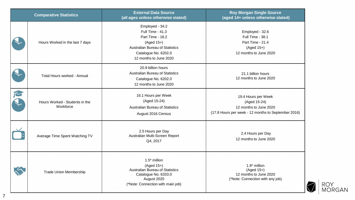|   | <b>Comparative Statistics</b>               | <b>External Data Source</b><br>(all ages unless otherwise stated)                                                                                                   | <b>Roy Morgan Single Source</b><br>(aged 14+ unless otherwise stated)                                                |
|---|---------------------------------------------|---------------------------------------------------------------------------------------------------------------------------------------------------------------------|----------------------------------------------------------------------------------------------------------------------|
|   | Hours Worked in the last 7 days             | Employed - 34.2<br>Full Time - 41.3<br>Part Time - 18.2<br>$(Aged 15+)$<br><b>Australian Bureau of Statistics</b><br>Catalogue No. 6202.0<br>12 months to June 2020 | Employed - 32.6<br>Full Time - 38.1<br>Part Time - 21.4<br>(Aged 15+)<br>12 months to June 2020                      |
|   | Total Hours worked - Annual                 | 20.9 billion hours<br><b>Australian Bureau of Statistics</b><br>Catalogue No. 6202.0<br>12 months to June 2020                                                      | 21.1 billion hours<br>12 months to June 2020                                                                         |
| N | Hours Worked - Students in the<br>Workforce | 16.1 Hours per Week<br>(Aged 15-24)<br><b>Australian Bureau of Statistics</b><br>August 2016 Census                                                                 | 19.4 Hours per Week<br>(Aged 15-24)<br>12 months to June 2020<br>(17.8 Hours per week - 12 months to September 2016) |
|   | Average Time Spent Watching TV              | 2.5 Hours per Day<br>Australian Multi-Screen Report<br>Q4, 2017                                                                                                     | 2.4 Hours per Day<br>12 months to June 2020                                                                          |
|   | <b>Trade Union Membership</b>               | $1.5^*$ million<br>$(Aged 15+)$<br><b>Australian Bureau of Statistics</b><br>Catalogue No. 6333.0<br>August 2020<br>(*Note: Connection with main job)               | $1.9*$ million<br>$(Aged 15+)$<br>12 months to June 2020<br>(*Note: Connection with any job)                         |

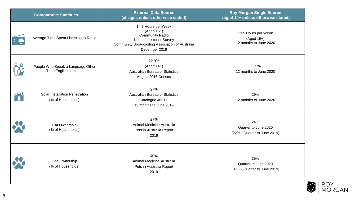|              | <b>Comparative Statistics</b>                             | <b>External Data Source</b><br>(all ages unless otherwise stated)                                                                                                  | <b>Roy Morgan Single Source</b><br>(aged 14+ unless otherwise stated) |
|--------------|-----------------------------------------------------------|--------------------------------------------------------------------------------------------------------------------------------------------------------------------|-----------------------------------------------------------------------|
|              | Average Time Spent Listening to Radio                     | 14.7 Hours per Week<br>(Aged 15+)<br><b>Community Radio</b><br><b>National Listener Survey</b><br>Community Broadcasting Association of Australia<br>December 2019 | 13.5 Hours per Week<br>$(Aged 15+)$<br>12 months to June 2020         |
| <b>Index</b> | People Who Speak a Language Other<br>Than English at Home | 22.9%<br>$(Aged 14+)$<br>Australian Bureau of Statistics<br>August 2016 Census                                                                                     | 22.9%<br>12 months to June 2020                                       |
|              | Solar Installation Penetration<br>(% of Households)       | 27%<br><b>Australian Bureau of Statistics</b><br>Catalogue 4631.0<br>12 months to June 2019                                                                        | 29%<br>12 months to June 2020                                         |
|              | Cat Ownership<br>(% of Households)                        | 27%<br>Animal Medicine Australia<br>Pets in Australia Report<br>2019                                                                                               | 24%<br>Quarter to June 2020<br>(22% - Quarter to June 2019)           |
|              | Dog Ownership<br>(% of Households)                        | 40%<br>Animal Medicine Australia<br>Pets in Australia Report<br>2019                                                                                               | 35%<br>Quarter to June 2020<br>(37% - Quarter to June 2019)           |